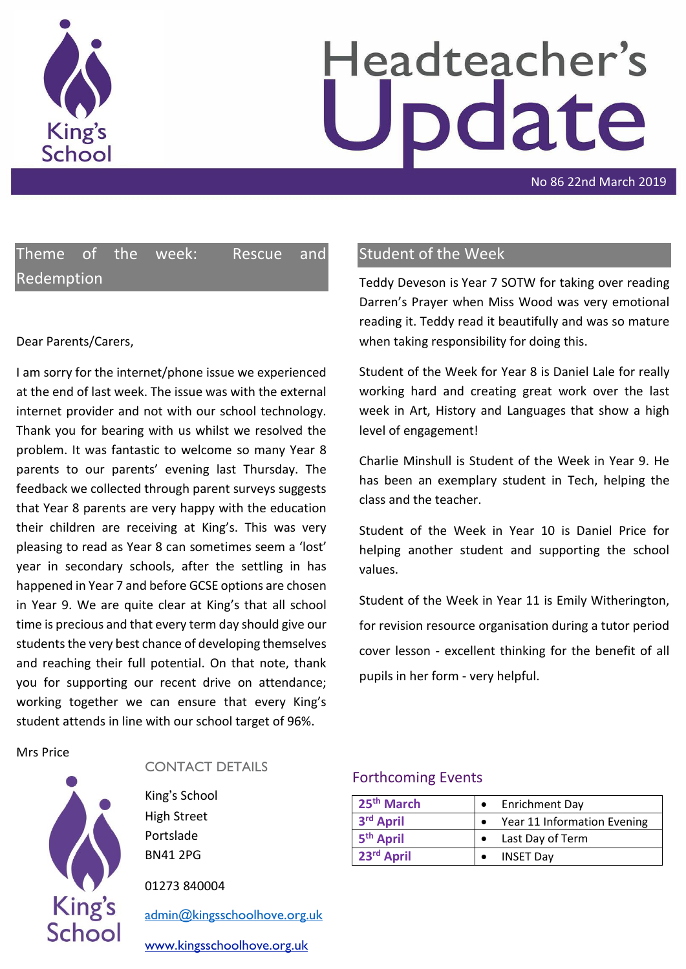

# Headteacher's pdate

No 86 22nd March 2019

Theme of the week: Rescue and Redemption

#### Dear Parents/Carers,

I am sorry for the internet/phone issue we experienced at the end of last week. The issue was with the external internet provider and not with our school technology. Thank you for bearing with us whilst we resolved the problem. It was fantastic to welcome so many Year 8 parents to our parents' evening last Thursday. The feedback we collected through parent surveys suggests that Year 8 parents are very happy with the education their children are receiving at King's. This was very pleasing to read as Year 8 can sometimes seem a 'lost' year in secondary schools, after the settling in has happened in Year 7 and before GCSE options are chosen in Year 9. We are quite clear at King's that all school time is precious and that every term day should give our students the very best chance of developing themselves and reaching their full potential. On that note, thank you for supporting our recent drive on attendance; working together we can ensure that every King's student attends in line with our school target of 96%.

Mrs Price



#### CONTACT DETAILS

King's School High Street Portslade BN41 2PG

01273 840004

[admin@kingsschoolhove.org.uk](mailto:admin@kingsschoolhove.org.uk)

[www.kingsschoolhove.org.uk](http://www.kingsschoolhove.org.uk/)

# Student of the Week

Teddy Deveson is Year 7 SOTW for taking over reading Darren's Prayer when Miss Wood was very emotional reading it. Teddy read it beautifully and was so mature when taking responsibility for doing this.

Student of the Week for Year 8 is Daniel Lale for really working hard and creating great work over the last week in Art, History and Languages that show a high level of engagement!

Charlie Minshull is Student of the Week in Year 9. He has been an exemplary student in Tech, helping the class and the teacher.

Student of the Week in Year 10 is Daniel Price for helping another student and supporting the school values.

Student of the Week in Year 11 is Emily Witherington, for revision resource organisation during a tutor period cover lesson - excellent thinking for the benefit of all pupils in her form - very helpful.

#### Forthcoming Events

| 25 <sup>th</sup> March | <b>Enrichment Day</b>              |
|------------------------|------------------------------------|
| 3rd April              | <b>Year 11 Information Evening</b> |
| 5 <sup>th</sup> April  | Last Day of Term                   |
| 23rd April             | <b>INSET Day</b>                   |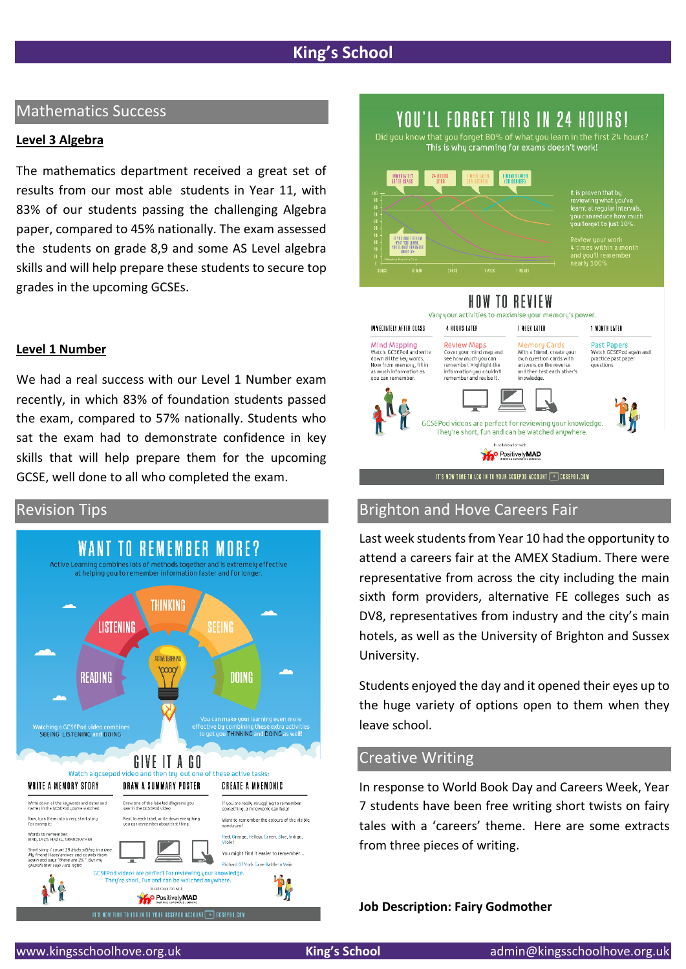#### Mathematics Success

#### **Level 3 Algebra**

The mathematics department received a great set of results from our most able students in Year 11, with 83% of our students passing the challenging Algebra paper, compared to 45% nationally. The exam assessed the students on grade 8,9 and some AS Level algebra skills and will help prepare these students to secure top grades in the upcoming GCSEs.

#### **Level 1 Number**

We had a real success with our Level 1 Number exam recently, in which 83% of foundation students passed the exam, compared to 57% nationally. Students who sat the exam had to demonstrate confidence in key skills that will help prepare them for the upcoming GCSE, well done to all who completed the exam.





# Did you know that you forget 80% of what you learn in the first 24 hours?<br>This is why cramming for exams doesn't work! **I MONTH LATER** re is proven that by<br>reviewing what you've<br>learnt at regular intervi iew your work<br>mes within a month<br>you'll remember<br>rlu 100%

YOU'LL FORGET THIS IN 24 HOURS!

HOW TO REVIEW Vary your activities to maximise your memory's power

IMMEDIATELY AFTER CLASS **A ROURS LATER I WEEK LATER** 

Mind Mapping<br>Watch GCSEPod and write<br>down all the key words.<br>Now from memory, fill in<br>as much information as

you can remember

Review Maps **Review Maps**<br>Cover your mind map and<br>see how much you can<br>remember. Highlight the<br>information you couldn't<br>remember and revise it.

GCSEPod videos are perfect for reviewing your knowledge They're short, fun and can be watched anywhere. In collaboration with **M**<sup>o</sup> Positively MAD IT'S NOW TIME TO LOG IN TO YOUR GOSEPOD ACCOUNT  $\boxed{\color{red} \infty}$  gosepod.com

Memory Cards<br>With a friend, create your<br>own question cards with<br>answers on the reverse<br>and then test each other's<br>knowledge.

Past Papers<br>Watch GCSEPod again and<br>practice past paper questions

1 NONTH LATER

# Revision Tips Brighton and Hove Careers Fair

Last week students from Year 10 had the opportunity to attend a careers fair at the AMEX Stadium. There were representative from across the city including the main sixth form providers, alternative FE colleges such as DV8, representatives from industry and the city's main hotels, as well as the University of Brighton and Sussex University.

Students enjoyed the day and it opened their eyes up to the huge variety of options open to them when they leave school.

# Creative Writing

In response to World Book Day and Careers Week, Year 7 students have been free writing short twists on fairy tales with a 'careers' theme. Here are some extracts from three pieces of writing.

**Job Description: Fairy Godmother**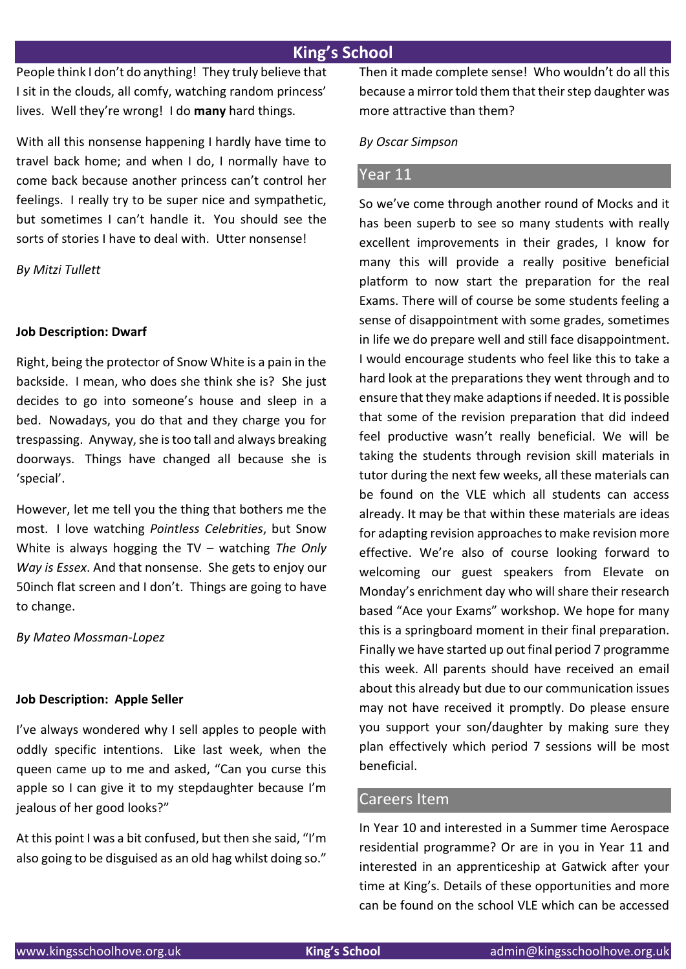People think I don't do anything! They truly believe that I sit in the clouds, all comfy, watching random princess' lives. Well they're wrong! I do **many** hard things.

With all this nonsense happening I hardly have time to travel back home; and when I do, I normally have to come back because another princess can't control her feelings. I really try to be super nice and sympathetic, but sometimes I can't handle it. You should see the sorts of stories I have to deal with. Utter nonsense!

*By Mitzi Tullett*

#### **Job Description: Dwarf**

Right, being the protector of Snow White is a pain in the backside. I mean, who does she think she is? She just decides to go into someone's house and sleep in a bed. Nowadays, you do that and they charge you for trespassing. Anyway, she is too tall and always breaking doorways. Things have changed all because she is 'special'.

However, let me tell you the thing that bothers me the most. I love watching *Pointless Celebrities*, but Snow White is always hogging the TV – watching *The Only Way is Essex*. And that nonsense. She gets to enjoy our 50inch flat screen and I don't. Things are going to have to change.

*By Mateo Mossman-Lopez*

#### **Job Description: Apple Seller**

I've always wondered why I sell apples to people with oddly specific intentions. Like last week, when the queen came up to me and asked, "Can you curse this apple so I can give it to my stepdaughter because I'm jealous of her good looks?"

At this point I was a bit confused, but then she said, "I'm also going to be disguised as an old hag whilst doing so." Then it made complete sense! Who wouldn't do all this because a mirror told them that their step daughter was more attractive than them?

*By Oscar Simpson*

#### Year 11

So we've come through another round of Mocks and it has been superb to see so many students with really excellent improvements in their grades, I know for many this will provide a really positive beneficial platform to now start the preparation for the real Exams. There will of course be some students feeling a sense of disappointment with some grades, sometimes in life we do prepare well and still face disappointment. I would encourage students who feel like this to take a hard look at the preparations they went through and to ensure that they make adaptions if needed. It is possible that some of the revision preparation that did indeed feel productive wasn't really beneficial. We will be taking the students through revision skill materials in tutor during the next few weeks, all these materials can be found on the VLE which all students can access already. It may be that within these materials are ideas for adapting revision approaches to make revision more effective. We're also of course looking forward to welcoming our guest speakers from Elevate on Monday's enrichment day who will share their research based "Ace your Exams" workshop. We hope for many this is a springboard moment in their final preparation. Finally we have started up out final period 7 programme this week. All parents should have received an email about this already but due to our communication issues may not have received it promptly. Do please ensure you support your son/daughter by making sure they plan effectively which period 7 sessions will be most beneficial.

### Careers Item

In Year 10 and interested in a Summer time Aerospace residential programme? Or are in you in Year 11 and interested in an apprenticeship at Gatwick after your time at King's. Details of these opportunities and more can be found on the school VLE which can be accessed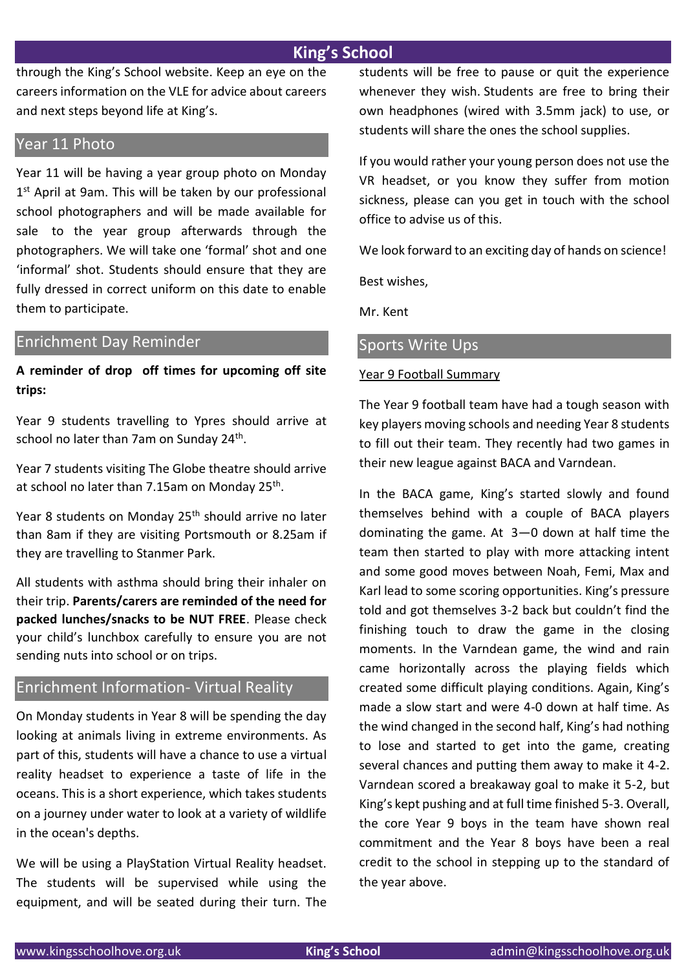through the King's School website. Keep an eye on the careers information on the VLE for advice about careers and next steps beyond life at King's.

#### Year 11 Photo

Year 11 will be having a year group photo on Monday 1<sup>st</sup> April at 9am. This will be taken by our professional school photographers and will be made available for sale to the year group afterwards through the photographers. We will take one 'formal' shot and one 'informal' shot. Students should ensure that they are fully dressed in correct uniform on this date to enable them to participate.

#### Enrichment Day Reminder

**A reminder of drop off times for upcoming off site trips:**

Year 9 students travelling to Ypres should arrive at school no later than 7am on Sunday 24<sup>th</sup>.

Year 7 students visiting The Globe theatre should arrive at school no later than 7.15am on Monday 25<sup>th</sup>.

Year 8 students on Monday 25<sup>th</sup> should arrive no later than 8am if they are visiting Portsmouth or 8.25am if they are travelling to Stanmer Park.

All students with asthma should bring their inhaler on their trip. **Parents/carers are reminded of the need for packed lunches/snacks to be NUT FREE**. Please check your child's lunchbox carefully to ensure you are not sending nuts into school or on trips.

### Enrichment Information- Virtual Reality

On Monday students in Year 8 will be spending the day looking at animals living in extreme environments. As part of this, students will have a chance to use a virtual reality headset to experience a taste of life in the oceans. This is a short experience, which takes students on a journey under water to look at a variety of wildlife in the ocean's depths.

We will be using a PlayStation Virtual Reality headset. The students will be supervised while using the equipment, and will be seated during their turn. The students will be free to pause or quit the experience whenever they wish. Students are free to bring their own headphones (wired with 3.5mm jack) to use, or students will share the ones the school supplies.

If you would rather your young person does not use the VR headset, or you know they suffer from motion sickness, please can you get in touch with the school office to advise us of this.

We look forward to an exciting day of hands on science!

Best wishes,

Mr. Kent

# Sports Write Ups

#### Year 9 Football Summary

The Year 9 football team have had a tough season with key players moving schools and needing Year 8 students to fill out their team. They recently had two games in their new league against BACA and Varndean.

In the BACA game, King's started slowly and found themselves behind with a couple of BACA players dominating the game. At 3—0 down at half time the team then started to play with more attacking intent and some good moves between Noah, Femi, Max and Karl lead to some scoring opportunities. King's pressure told and got themselves 3-2 back but couldn't find the finishing touch to draw the game in the closing moments. In the Varndean game, the wind and rain came horizontally across the playing fields which created some difficult playing conditions. Again, King's made a slow start and were 4-0 down at half time. As the wind changed in the second half, King's had nothing to lose and started to get into the game, creating several chances and putting them away to make it 4-2. Varndean scored a breakaway goal to make it 5-2, but King's kept pushing and at full time finished 5-3. Overall, the core Year 9 boys in the team have shown real commitment and the Year 8 boys have been a real credit to the school in stepping up to the standard of the year above.